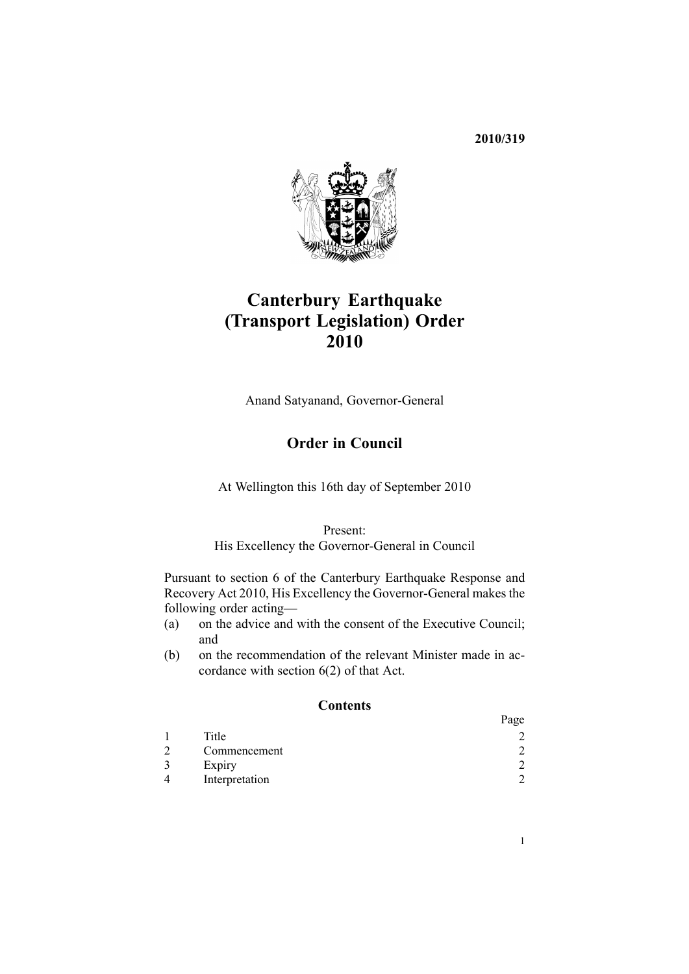# **2010/319**



# **Canterbury Earthquake (Transport Legislation) Order 2010**

Anand Satyanand, Governor-General

# **Order in Council**

At Wellington this 16th day of September 2010

## Present:

His Excellency the Governor-General in Council

Pursuant to [section](http://www.legislation.govt.nz/pdflink.aspx?id=DLM3233036) 6 of the Canterbury Earthquake Response and Recovery Act 2010, His Excellency the Governor-General makes the following order acting—

- (a) on the advice and with the consent of the Executive Council; and
- (b) on the recommendation of the relevant Minister made in accordance with [section](http://www.legislation.govt.nz/pdflink.aspx?id=DLM3233036) 6(2) of that Act.

# **Contents**

|                | Page           |
|----------------|----------------|
| Title          |                |
| Commencement   | $\mathcal{L}$  |
| Expiry         | $\overline{2}$ |
| Interpretation | $\mathcal{D}$  |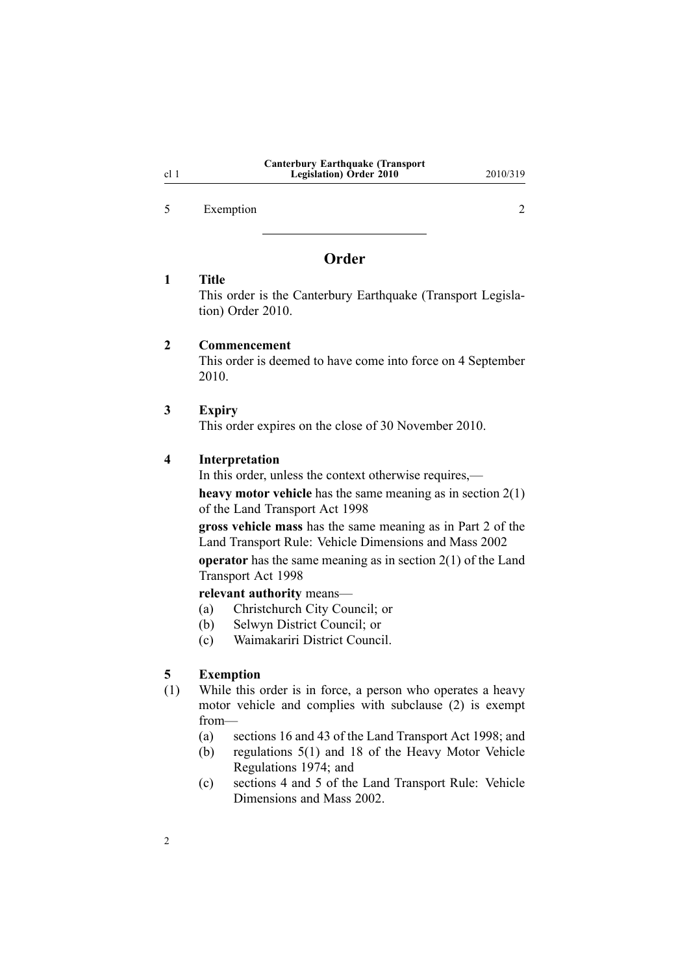5 Exemption 2

# **Order**

# **1 Title**

This order is the Canterbury Earthquake (Transport Legislation) Order 2010.

### **2 Commencement**

This order is deemed to have come into force on 4 September 2010.

#### **3 Expiry**

This order expires on the close of 30 November 2010.

#### **4 Interpretation**

In this order, unless the context otherwise requires,—

**heavy motor vehicle** has the same meaning as in [section](http://www.legislation.govt.nz/pdflink.aspx?id=DLM433619) 2(1) of the Land Transport Act 1998

**gross vehicle mass** has the same meaning as in Part 2 of the Land Transport Rule: Vehicle Dimensions and Mass 2002

**operator** has the same meaning as in [section](http://www.legislation.govt.nz/pdflink.aspx?id=DLM433619) 2(1) of the Land Transport Act 1998

**relevant authority** means—

- (a) Christchurch City Council; or
- (b) Selwyn District Council; or
- (c) Waimakariri District Council.

#### **5 Exemption**

2

- (1) While this order is in force, <sup>a</sup> person who operates <sup>a</sup> heavy motor vehicle and complies with subclause (2) is exemp<sup>t</sup> from—
	- (a) sections 16 and 43 of the Land Transport Act 1998; and
	- (b) regu[lations](http://www.legislation.govt.nz/pdflink.aspx?id=DLM44377) 5(1) and [18](http://www.legislation.govt.nz/pdflink.aspx?id=DLM44762) of the Heavy Motor Vehicle Regulations 1974; and
	- (c) sections 4 and 5 of the Land Transport Rule: Vehicle Dimensions and Mass 2002.

#### <span id="page-1-0"></span>cl 1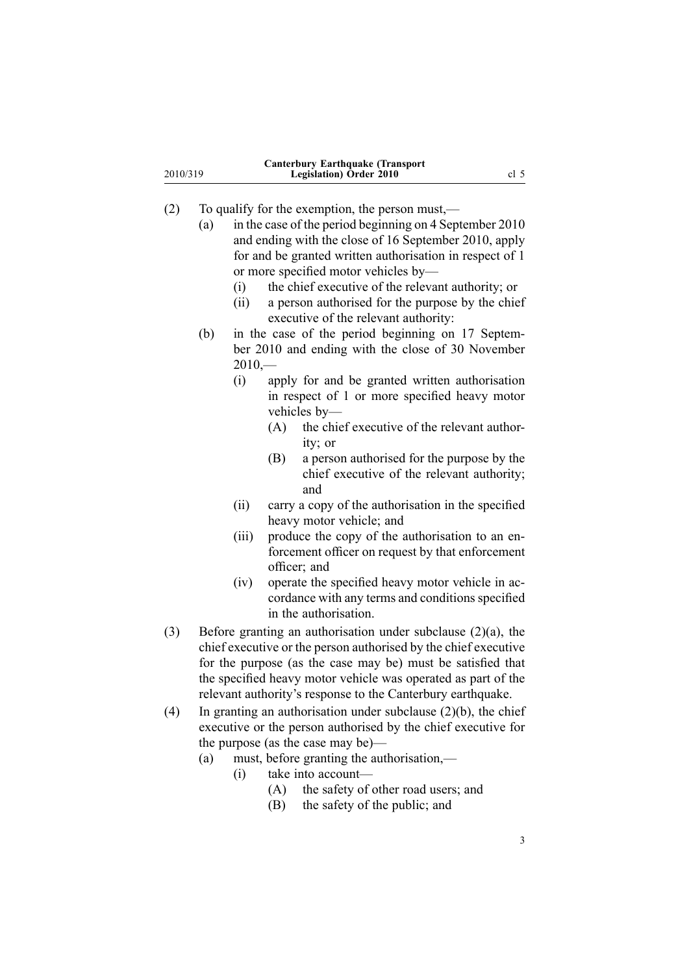| 2010/319 |                                                                 | <b>Canterbury Earthquake (Transport</b><br>Legislation) Order 2010 |                                                         |                                                                   | cl <sub>5</sub> |  |  |
|----------|-----------------------------------------------------------------|--------------------------------------------------------------------|---------------------------------------------------------|-------------------------------------------------------------------|-----------------|--|--|
| (2)      |                                                                 |                                                                    |                                                         | To qualify for the exemption, the person must,—                   |                 |  |  |
|          | (a)                                                             |                                                                    | in the case of the period beginning on 4 September 2010 |                                                                   |                 |  |  |
|          |                                                                 |                                                                    | and ending with the close of 16 September 2010, apply   |                                                                   |                 |  |  |
|          |                                                                 |                                                                    |                                                         | for and be granted written authorisation in respect of 1          |                 |  |  |
|          |                                                                 |                                                                    |                                                         | or more specified motor vehicles by-                              |                 |  |  |
|          |                                                                 | (i)                                                                |                                                         | the chief executive of the relevant authority; or                 |                 |  |  |
|          |                                                                 | (ii)                                                               |                                                         | a person authorised for the purpose by the chief                  |                 |  |  |
|          |                                                                 |                                                                    |                                                         | executive of the relevant authority:                              |                 |  |  |
|          | (b)                                                             |                                                                    |                                                         | in the case of the period beginning on 17 Septem-                 |                 |  |  |
|          |                                                                 |                                                                    | ber 2010 and ending with the close of 30 November       |                                                                   |                 |  |  |
|          |                                                                 |                                                                    | $2010,-$                                                |                                                                   |                 |  |  |
|          |                                                                 | (i)                                                                |                                                         | apply for and be granted written authorisation                    |                 |  |  |
|          |                                                                 |                                                                    |                                                         | in respect of 1 or more specified heavy motor                     |                 |  |  |
|          |                                                                 |                                                                    |                                                         | vehicles by-                                                      |                 |  |  |
|          |                                                                 |                                                                    | (A)                                                     | the chief executive of the relevant author-                       |                 |  |  |
|          |                                                                 |                                                                    |                                                         | ity; or                                                           |                 |  |  |
|          |                                                                 |                                                                    | (B)                                                     | a person authorised for the purpose by the                        |                 |  |  |
|          |                                                                 |                                                                    |                                                         | chief executive of the relevant authority;<br>and                 |                 |  |  |
|          |                                                                 | (ii)                                                               |                                                         | carry a copy of the authorisation in the specified                |                 |  |  |
|          |                                                                 |                                                                    |                                                         | heavy motor vehicle; and                                          |                 |  |  |
|          |                                                                 | (iii)                                                              |                                                         | produce the copy of the authorisation to an en-                   |                 |  |  |
|          |                                                                 |                                                                    |                                                         | forcement officer on request by that enforcement                  |                 |  |  |
|          |                                                                 |                                                                    |                                                         | officer; and                                                      |                 |  |  |
|          |                                                                 | (iv)                                                               |                                                         | operate the specified heavy motor vehicle in ac-                  |                 |  |  |
|          |                                                                 |                                                                    |                                                         | cordance with any terms and conditions specified                  |                 |  |  |
|          |                                                                 |                                                                    |                                                         | in the authorisation.                                             |                 |  |  |
| (3)      | Before granting an authorisation under subclause $(2)(a)$ , the |                                                                    |                                                         |                                                                   |                 |  |  |
|          | chief executive or the person authorised by the chief executive |                                                                    |                                                         |                                                                   |                 |  |  |
|          |                                                                 |                                                                    |                                                         | for the purpose (as the case may be) must be satisfied that       |                 |  |  |
|          | the specified heavy motor vehicle was operated as part of the   |                                                                    |                                                         |                                                                   |                 |  |  |
|          | relevant authority's response to the Canterbury earthquake.     |                                                                    |                                                         |                                                                   |                 |  |  |
| (4)      |                                                                 |                                                                    |                                                         | In granting an authorisation under subclause $(2)(b)$ , the chief |                 |  |  |
|          |                                                                 |                                                                    |                                                         | executive or the person authorised by the chief executive for     |                 |  |  |
|          |                                                                 |                                                                    |                                                         | the purpose (as the case may be)—                                 |                 |  |  |
|          | (a)                                                             |                                                                    |                                                         | must, before granting the authorisation,—                         |                 |  |  |
|          |                                                                 | (i)                                                                |                                                         | take into account-                                                |                 |  |  |

- (A) the safety of other road users; and
- $(B)$  the safety of the public; and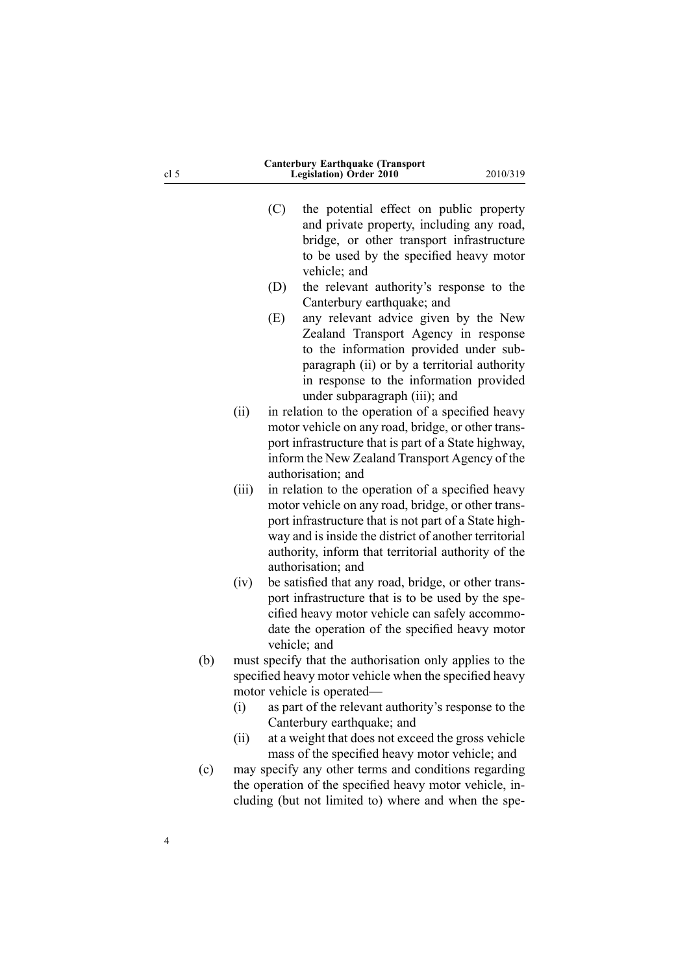| cl <sub>5</sub>    | <b>Canterbury Earthquake (Transport</b><br><b>Legislation</b> ) Order 2010                                                                                                                                                                                                                                                                   | 2010/319 |  |
|--------------------|----------------------------------------------------------------------------------------------------------------------------------------------------------------------------------------------------------------------------------------------------------------------------------------------------------------------------------------------|----------|--|
|                    | (C)<br>the potential effect on public property<br>and private property, including any road,<br>bridge, or other transport infrastructure<br>to be used by the specified heavy motor<br>vehicle; and                                                                                                                                          |          |  |
|                    | (D)<br>the relevant authority's response to the<br>Canterbury earthquake; and                                                                                                                                                                                                                                                                |          |  |
|                    | any relevant advice given by the New<br>(E)<br>Zealand Transport Agency in response<br>to the information provided under sub-<br>paragraph (ii) or by a territorial authority<br>in response to the information provided                                                                                                                     |          |  |
| (ii)               | under subparagraph (iii); and<br>in relation to the operation of a specified heavy<br>motor vehicle on any road, bridge, or other trans-<br>port infrastructure that is part of a State highway,<br>inform the New Zealand Transport Agency of the                                                                                           |          |  |
| (iii)              | authorisation; and<br>in relation to the operation of a specified heavy<br>motor vehicle on any road, bridge, or other trans-<br>port infrastructure that is not part of a State high-<br>way and is inside the district of another territorial<br>authority, inform that territorial authority of the<br>authorisation; and                 |          |  |
| (iv)               | be satisfied that any road, bridge, or other trans-<br>port infrastructure that is to be used by the spe-<br>cified heavy motor vehicle can safely accommo-<br>date the operation of the specified heavy motor<br>vehicle; and                                                                                                               |          |  |
| (b)<br>(i)<br>(ii) | must specify that the authorisation only applies to the<br>specified heavy motor vehicle when the specified heavy<br>motor vehicle is operated—<br>as part of the relevant authority's response to the<br>Canterbury earthquake; and<br>at a weight that does not exceed the gross vehicle<br>mass of the specified heavy motor vehicle; and |          |  |
| (c)                | may specify any other terms and conditions regarding<br>the operation of the specified heavy motor vehicle, in-<br>cluding (but not limited to) where and when the spe-                                                                                                                                                                      |          |  |